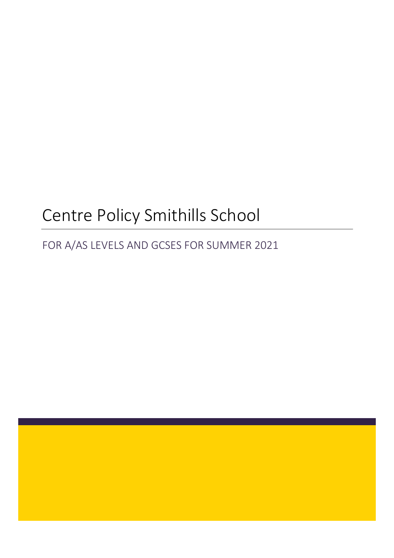# Centre Policy Smithills School

FOR A/AS LEVELS AND GCSES FOR SUMMER 2021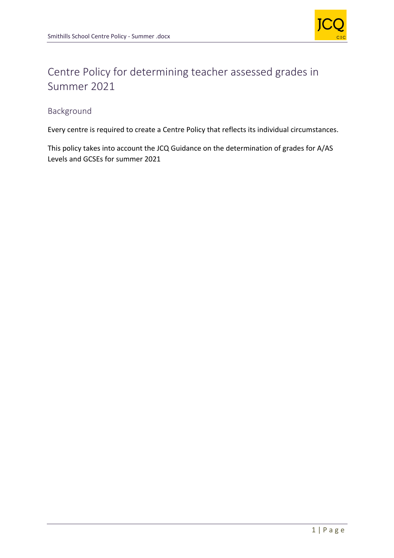

# Centre Policy for determining teacher assessed grades in Summer 2021

## Background

Every centre is required to create a Centre Policy that reflects its individual circumstances.

This policy takes into account the JCQ Guidance on the determination of grades for A/AS Levels and GCSEs for summer 2021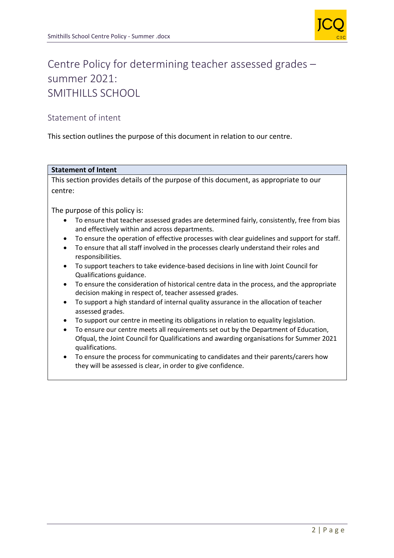

## Centre Policy for determining teacher assessed grades – summer 2021: SMITHILLS SCHOOL

## Statement of intent

This section outlines the purpose of this document in relation to our centre.

### **Statement of Intent**

This section provides details of the purpose of this document, as appropriate to our centre:

The purpose of this policy is:

- To ensure that teacher assessed grades are determined fairly, consistently, free from bias and effectively within and across departments.
- To ensure the operation of effective processes with clear guidelines and support for staff.
- To ensure that all staff involved in the processes clearly understand their roles and responsibilities.
- To support teachers to take evidence-based decisions in line with Joint Council for Qualifications guidance.
- To ensure the consideration of historical centre data in the process, and the appropriate decision making in respect of, teacher assessed grades.
- To support a high standard of internal quality assurance in the allocation of teacher assessed grades.
- To support our centre in meeting its obligations in relation to equality legislation.
- To ensure our centre meets all requirements set out by the Department of Education, Ofqual, the Joint Council for Qualifications and awarding organisations for Summer 2021 qualifications.
- To ensure the process for communicating to candidates and their parents/carers how they will be assessed is clear, in order to give confidence.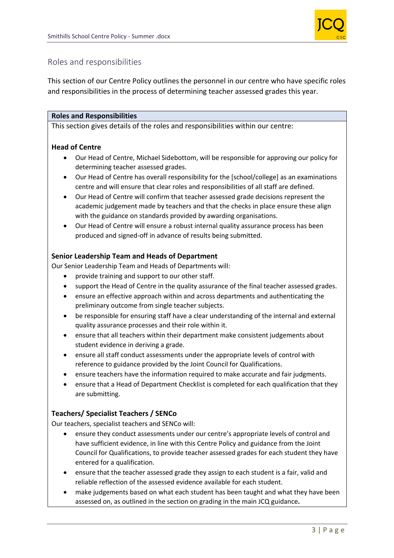

## Roles and responsibilities

This section of our Centre Policy outlines the personnel in our centre who have specific roles and responsibilities in the process of determining teacher assessed grades this year.

### **Roles and Responsibilities**

This section gives details of the roles and responsibilities within our centre:

#### **Head of Centre**

- Our Head of Centre, Michael Sidebottom, will be responsible for approving our policy for determining teacher assessed grades.
- Our Head of Centre has overall responsibility for the [school/college] as an examinations centre and will ensure that clear roles and responsibilities of all staff are defined.
- Our Head of Centre will confirm that teacher assessed grade decisions represent the academic judgement made by teachers and that the checks in place ensure these align with the guidance on standards provided by awarding organisations.
- Our Head of Centre will ensure a robust internal quality assurance process has been produced and signed-off in advance of results being submitted.

#### **Senior Leadership Team and Heads of Department**

Our Senior Leadership Team and Heads of Departments will:

- provide training and support to our other staff.
- support the Head of Centre in the quality assurance of the final teacher assessed grades.
- ensure an effective approach within and across departments and authenticating the preliminary outcome from single teacher subjects.
- be responsible for ensuring staff have a clear understanding of the internal and external quality assurance processes and their role within it.
- ensure that all teachers within their department make consistent judgements about student evidence in deriving a grade.
- ensure all staff conduct assessments under the appropriate levels of control with reference to guidance provided by the Joint Council for Qualifications.
- ensure teachers have the information required to make accurate and fair judgments.
- ensure that a Head of Department Checklist is completed for each qualification that they are submitting.

### **Teachers/ Specialist Teachers / SENCo**

Our teachers, specialist teachers and SENCo will:

- ensure they conduct assessments under our centre's appropriate levels of control and have sufficient evidence, in line with this Centre Policy and guidance from the Joint Council for Qualifications, to provide teacher assessed grades for each student they have entered for a qualification.
- ensure that the teacher assessed grade they assign to each student is a fair, valid and reliable reflection of the assessed evidence available for each student.
- make judgements based on what each student has been taught and what they have been assessed on, as outlined in the section on grading in the main JCQ guidance**.**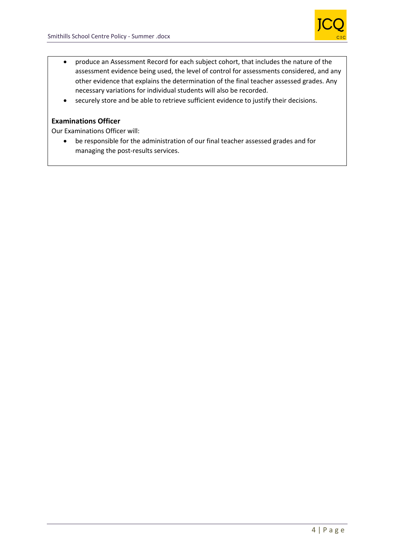

- produce an Assessment Record for each subject cohort, that includes the nature of the assessment evidence being used, the level of control for assessments considered, and any other evidence that explains the determination of the final teacher assessed grades. Any necessary variations for individual students will also be recorded.
- securely store and be able to retrieve sufficient evidence to justify their decisions.

### **Examinations Officer**

Our Examinations Officer will:

• be responsible for the administration of our final teacher assessed grades and for managing the post-results services.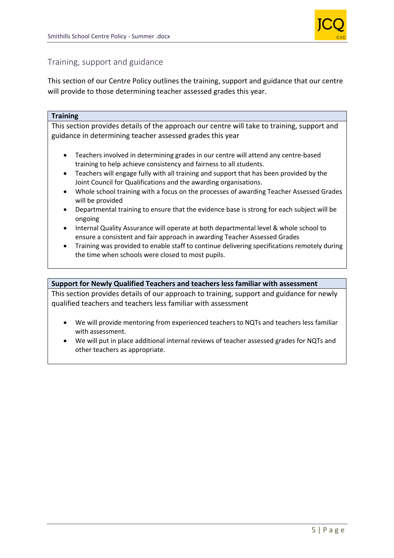

## Training, support and guidance

This section of our Centre Policy outlines the training, support and guidance that our centre will provide to those determining teacher assessed grades this year.

#### **Training**

This section provides details of the approach our centre will take to training, support and guidance in determining teacher assessed grades this year

- Teachers involved in determining grades in our centre will attend any centre-based training to help achieve consistency and fairness to all students.
- Teachers will engage fully with all training and support that has been provided by the Joint Council for Qualifications and the awarding organisations.
- Whole school training with a focus on the processes of awarding Teacher Assessed Grades will be provided
- Departmental training to ensure that the evidence base is strong for each subject will be ongoing
- Internal Quality Assurance will operate at both departmental level & whole school to ensure a consistent and fair approach in awarding Teacher Assessed Grades
- Training was provided to enable staff to continue delivering specifications remotely during the time when schools were closed to most pupils.

#### **Support for Newly Qualified Teachers and teachers less familiar with assessment**

This section provides details of our approach to training, support and guidance for newly qualified teachers and teachers less familiar with assessment

- We will provide mentoring from experienced teachers to NQTs and teachers less familiar with assessment.
- We will put in place additional internal reviews of teacher assessed grades for NQTs and other teachers as appropriate.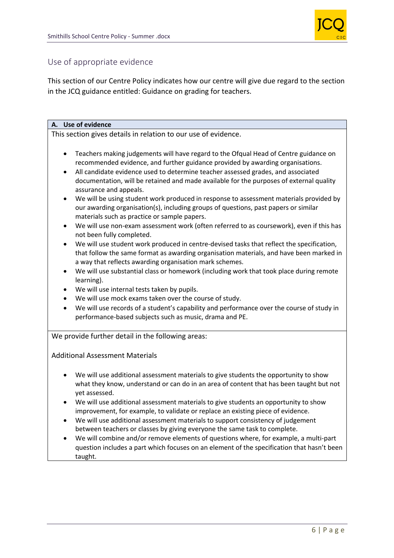

## Use of appropriate evidence

This section of our Centre Policy indicates how our centre will give due regard to the section in the JCQ guidance entitled: Guidance on grading for teachers.

## **A. Use of evidence** This section gives details in relation to our use of evidence. • Teachers making judgements will have regard to the Ofqual Head of Centre guidance on recommended evidence, and further guidance provided by awarding organisations. • All candidate evidence used to determine teacher assessed grades, and associated documentation, will be retained and made available for the purposes of external quality assurance and appeals. • We will be using student work produced in response to assessment materials provided by our awarding organisation(s), including groups of questions, past papers or similar materials such as practice or sample papers. • We will use non-exam assessment work (often referred to as coursework), even if this has not been fully completed. • We will use student work produced in centre-devised tasks that reflect the specification, that follow the same format as awarding organisation materials, and have been marked in a way that reflects awarding organisation mark schemes. • We will use substantial class or homework (including work that took place during remote learning). We will use internal tests taken by pupils. We will use mock exams taken over the course of study. • We will use records of a student's capability and performance over the course of study in performance-based subjects such as music, drama and PE. We provide further detail in the following areas: Additional Assessment Materials • We will use additional assessment materials to give students the opportunity to show what they know, understand or can do in an area of content that has been taught but not yet assessed. • We will use additional assessment materials to give students an opportunity to show improvement, for example, to validate or replace an existing piece of evidence. • We will use additional assessment materials to support consistency of judgement between teachers or classes by giving everyone the same task to complete. • We will combine and/or remove elements of questions where, for example, a multi-part question includes a part which focuses on an element of the specification that hasn't been taught.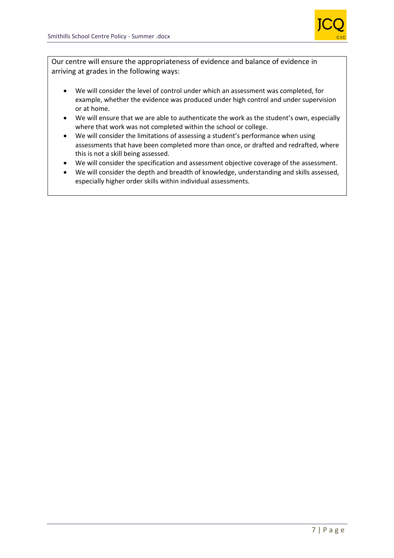

Our centre will ensure the appropriateness of evidence and balance of evidence in arriving at grades in the following ways:

- We will consider the level of control under which an assessment was completed, for example, whether the evidence was produced under high control and under supervision or at home.
- We will ensure that we are able to authenticate the work as the student's own, especially where that work was not completed within the school or college.
- We will consider the limitations of assessing a student's performance when using assessments that have been completed more than once, or drafted and redrafted, where this is not a skill being assessed.
- We will consider the specification and assessment objective coverage of the assessment.
- We will consider the depth and breadth of knowledge, understanding and skills assessed, especially higher order skills within individual assessments.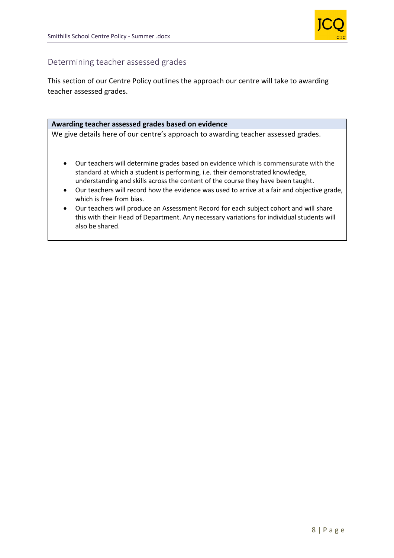

## Determining teacher assessed grades

This section of our Centre Policy outlines the approach our centre will take to awarding teacher assessed grades.

#### **Awarding teacher assessed grades based on evidence**

We give details here of our centre's approach to awarding teacher assessed grades.

- Our teachers will determine grades based on evidence which is commensurate with the standard at which a student is performing, i.e. their demonstrated knowledge, understanding and skills across the content of the course they have been taught.
- Our teachers will record how the evidence was used to arrive at a fair and objective grade, which is free from bias.
- Our teachers will produce an Assessment Record for each subject cohort and will share this with their Head of Department. Any necessary variations for individual students will also be shared.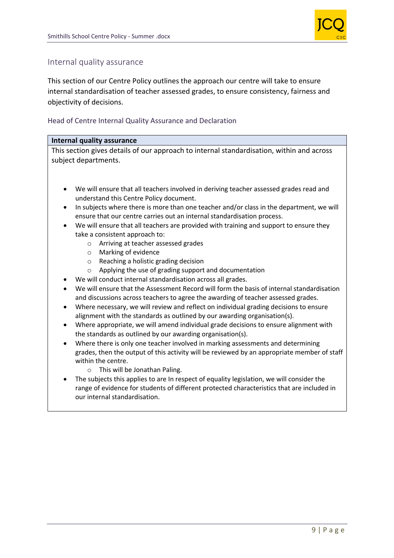

## Internal quality assurance

This section of our Centre Policy outlines the approach our centre will take to ensure internal standardisation of teacher assessed grades, to ensure consistency, fairness and objectivity of decisions.

## Head of Centre Internal Quality Assurance and Declaration

#### **Internal quality assurance**

This section gives details of our approach to internal standardisation, within and across subject departments.

- We will ensure that all teachers involved in deriving teacher assessed grades read and understand this Centre Policy document.
- In subjects where there is more than one teacher and/or class in the department, we will ensure that our centre carries out an internal standardisation process.
- We will ensure that all teachers are provided with training and support to ensure they take a consistent approach to:
	- o Arriving at teacher assessed grades
	- o Marking of evidence
	- o Reaching a holistic grading decision
	- o Applying the use of grading support and documentation
- We will conduct internal standardisation across all grades.
- We will ensure that the Assessment Record will form the basis of internal standardisation and discussions across teachers to agree the awarding of teacher assessed grades.
- Where necessary, we will review and reflect on individual grading decisions to ensure alignment with the standards as outlined by our awarding organisation(s).
- Where appropriate, we will amend individual grade decisions to ensure alignment with the standards as outlined by our awarding organisation(s).
- Where there is only one teacher involved in marking assessments and determining grades, then the output of this activity will be reviewed by an appropriate member of staff within the centre.
	- o This will be Jonathan Paling.
- The subjects this applies to are In respect of equality legislation, we will consider the range of evidence for students of different protected characteristics that are included in our internal standardisation.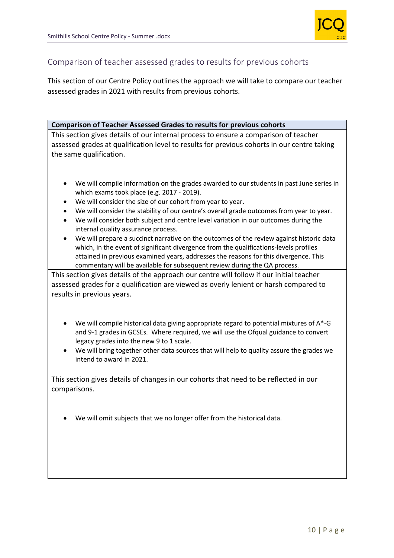

## Comparison of teacher assessed grades to results for previous cohorts

This section of our Centre Policy outlines the approach we will take to compare our teacher assessed grades in 2021 with results from previous cohorts.

### **Comparison of Teacher Assessed Grades to results for previous cohorts**

This section gives details of our internal process to ensure a comparison of teacher assessed grades at qualification level to results for previous cohorts in our centre taking the same qualification.

- We will compile information on the grades awarded to our students in past June series in which exams took place (e.g. 2017 - 2019).
- We will consider the size of our cohort from year to year.
- We will consider the stability of our centre's overall grade outcomes from year to year.
- We will consider both subject and centre level variation in our outcomes during the internal quality assurance process.
- We will prepare a succinct narrative on the outcomes of the review against historic data which, in the event of significant divergence from the qualifications-levels profiles attained in previous examined years, addresses the reasons for this divergence. This commentary will be available for subsequent review during the QA process.

This section gives details of the approach our centre will follow if our initial teacher assessed grades for a qualification are viewed as overly lenient or harsh compared to results in previous years.

- We will compile historical data giving appropriate regard to potential mixtures of A\*-G and 9-1 grades in GCSEs. Where required, we will use the Ofqual guidance to convert legacy grades into the new 9 to 1 scale.
- We will bring together other data sources that will help to quality assure the grades we intend to award in 2021.

This section gives details of changes in our cohorts that need to be reflected in our comparisons.

• We will omit subjects that we no longer offer from the historical data.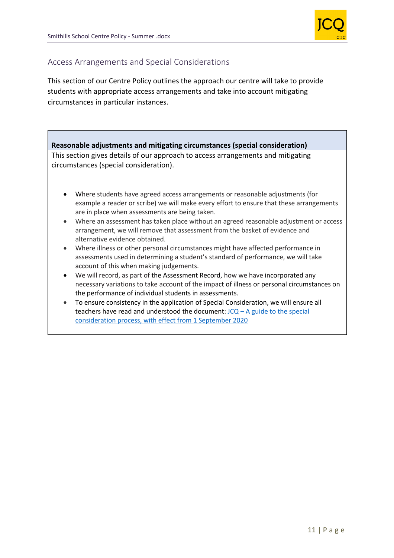

## Access Arrangements and Special Considerations

This section of our Centre Policy outlines the approach our centre will take to provide students with appropriate access arrangements and take into account mitigating circumstances in particular instances.

| Reasonable adjustments and mitigating circumstances (special consideration)                                                                                                                                                                                                                                                                                                                                                                                    |  |  |
|----------------------------------------------------------------------------------------------------------------------------------------------------------------------------------------------------------------------------------------------------------------------------------------------------------------------------------------------------------------------------------------------------------------------------------------------------------------|--|--|
| This section gives details of our approach to access arrangements and mitigating<br>circumstances (special consideration).                                                                                                                                                                                                                                                                                                                                     |  |  |
| Where students have agreed access arrangements or reasonable adjustments (for<br>$\bullet$<br>example a reader or scribe) we will make every effort to ensure that these arrangements<br>are in place when assessments are being taken.<br>Where an assessment has taken place without an agreed reasonable adjustment or access<br>$\bullet$<br>arrangement, we will remove that assessment from the basket of evidence and<br>alternative evidence obtained. |  |  |
| Where illness or other personal circumstances might have affected performance in<br>$\bullet$<br>assessments used in determining a student's standard of performance, we will take<br>account of this when making judgements.                                                                                                                                                                                                                                  |  |  |

- We will record, as part of the Assessment Record, how we have incorporated any necessary variations to take account of the impact of illness or personal circumstances on the performance of individual students in assessments.
- To ensure consistency in the application of Special Consideration, we will ensure all teachers have read and understood the document:  $JCQ - A$  guide to the special consideration process, with effect from 1 September 2020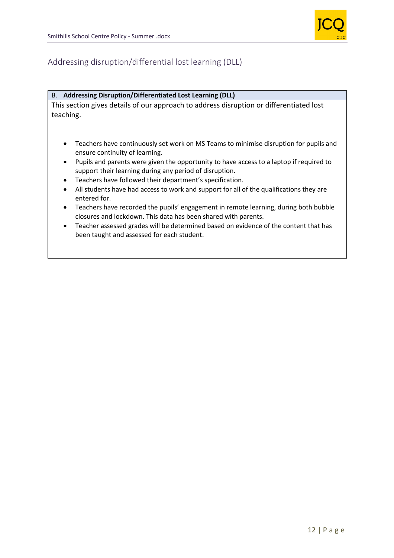

## Addressing disruption/differential lost learning (DLL)

#### B. **Addressing Disruption/Differentiated Lost Learning (DLL)**

This section gives details of our approach to address disruption or differentiated lost teaching.

- Teachers have continuously set work on MS Teams to minimise disruption for pupils and ensure continuity of learning.
- Pupils and parents were given the opportunity to have access to a laptop if required to support their learning during any period of disruption.
- Teachers have followed their department's specification.
- All students have had access to work and support for all of the qualifications they are entered for.
- Teachers have recorded the pupils' engagement in remote learning, during both bubble closures and lockdown. This data has been shared with parents.
- Teacher assessed grades will be determined based on evidence of the content that has been taught and assessed for each student.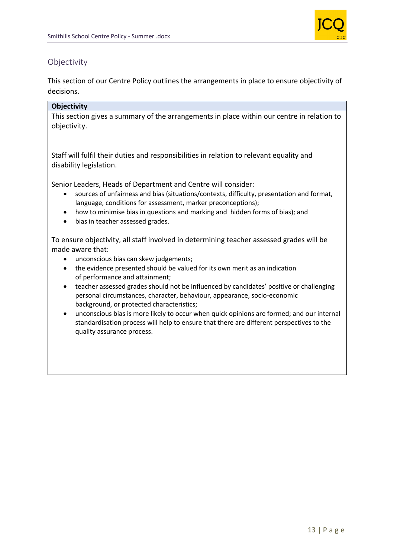

## Objectivity

This section of our Centre Policy outlines the arrangements in place to ensure objectivity of decisions.

## **Objectivity**

This section gives a summary of the arrangements in place within our centre in relation to objectivity.

Staff will fulfil their duties and responsibilities in relation to relevant equality and disability legislation.

Senior Leaders, Heads of Department and Centre will consider:

- sources of unfairness and bias (situations/contexts, difficulty, presentation and format, language, conditions for assessment, marker preconceptions);
- how to minimise bias in questions and marking and hidden forms of bias); and
- bias in teacher assessed grades.

To ensure objectivity, all staff involved in determining teacher assessed grades will be made aware that:

- unconscious bias can skew judgements;
- the evidence presented should be valued for its own merit as an indication of performance and attainment;
- teacher assessed grades should not be influenced by candidates' positive or challenging personal circumstances, character, behaviour, appearance, socio-economic background, or protected characteristics;
- unconscious bias is more likely to occur when quick opinions are formed; and our internal standardisation process will help to ensure that there are different perspectives to the quality assurance process.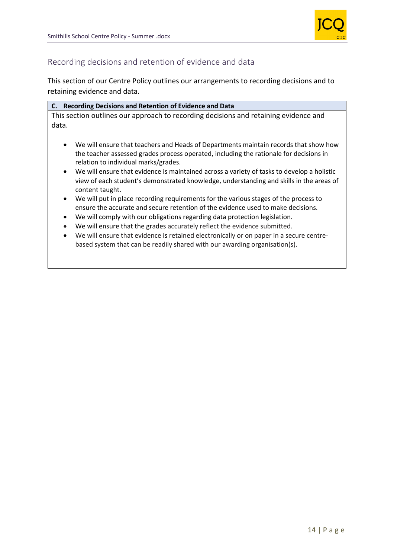

## Recording decisions and retention of evidence and data

This section of our Centre Policy outlines our arrangements to recording decisions and to retaining evidence and data.

|       | C. Recording Decisions and Retention of Evidence and Data                            |
|-------|--------------------------------------------------------------------------------------|
|       | This section outlines our approach to recording decisions and retaining evidence and |
| data. |                                                                                      |
|       |                                                                                      |
|       | We will ensure that teachers and Heads of Departments maintain records that show how |

- We will ensure that teachers and Heads of Departments maintain records that show how the teacher assessed grades process operated, including the rationale for decisions in relation to individual marks/grades.
- We will ensure that evidence is maintained across a variety of tasks to develop a holistic view of each student's demonstrated knowledge, understanding and skills in the areas of content taught.
- We will put in place recording requirements for the various stages of the process to ensure the accurate and secure retention of the evidence used to make decisions.
- We will comply with our obligations regarding data protection legislation.
- We will ensure that the grades accurately reflect the evidence submitted.
- We will ensure that evidence is retained electronically or on paper in a secure centrebased system that can be readily shared with our awarding organisation(s).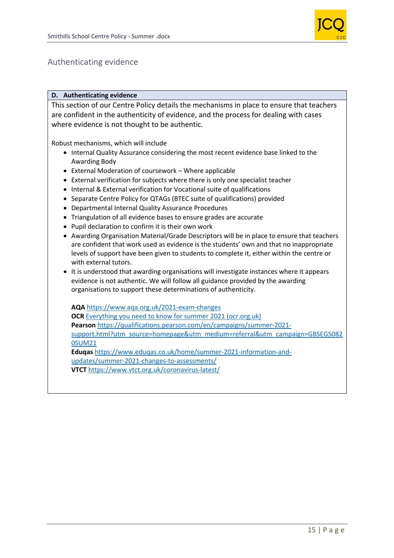

## Authenticating evidence

#### **D. Authenticating evidence**

This section of our Centre Policy details the mechanisms in place to ensure that teachers are confident in the authenticity of evidence, and the process for dealing with cases where evidence is not thought to be authentic.

Robust mechanisms, which will include

- Internal Quality Assurance considering the most recent evidence base linked to the Awarding Body
- External Moderation of coursework Where applicable
- External verification for subjects where there is only one specialist teacher
- Internal & External verification for Vocational suite of qualifications
- Separate Centre Policy for QTAGs (BTEC suite of qualifications) provided
- Departmental Internal Quality Assurance Procedures
- Triangulation of all evidence bases to ensure grades are accurate
- Pupil declaration to confirm it is their own work
- Awarding Organisation Material/Grade Descriptors will be in place to ensure that teachers are confident that work used as evidence is the students' own and that no inappropriate levels of support have been given to students to complete it, either within the centre or with external tutors.
- It is understood that awarding organisations will investigate instances where it appears evidence is not authentic. We will follow all guidance provided by the awarding organisations to support these determinations of authenticity.

**AQA** https://www.aqa.org.uk/2021-exam-changes **OCR** Everything you need to know for summer 2021 (ocr.org.uk) **Pearson** https://qualifications.pearson.com/en/campaigns/summer-2021 support.html?utm\_source=homepage&utm\_medium=referral&utm\_campaign=GBSEGS082 0SUM21 **Eduqas** https://www.eduqas.co.uk/home/summer-2021-information-andupdates/summer-2021-changes-to-assessments/ **VTCT** https://www.vtct.org.uk/coronavirus-latest/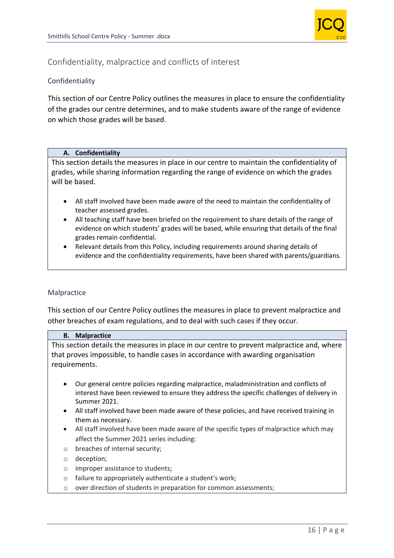

## Confidentiality, malpractice and conflicts of interest

## **Confidentiality**

This section of our Centre Policy outlines the measures in place to ensure the confidentiality of the grades our centre determines, and to make students aware of the range of evidence on which those grades will be based.

#### **A. Confidentiality**

This section details the measures in place in our centre to maintain the confidentiality of grades, while sharing information regarding the range of evidence on which the grades will be based.

- All staff involved have been made aware of the need to maintain the confidentiality of teacher assessed grades.
- All teaching staff have been briefed on the requirement to share details of the range of evidence on which students' grades will be based, while ensuring that details of the final grades remain confidential.
- Relevant details from this Policy, including requirements around sharing details of evidence and the confidentiality requirements, have been shared with parents/guardians.

#### Malpractice

This section of our Centre Policy outlines the measures in place to prevent malpractice and other breaches of exam regulations, and to deal with such cases if they occur.

#### **B. Malpractice**

This section details the measures in place in our centre to prevent malpractice and, where that proves impossible, to handle cases in accordance with awarding organisation requirements.

- Our general centre policies regarding malpractice, maladministration and conflicts of interest have been reviewed to ensure they address the specific challenges of delivery in Summer 2021.
- All staff involved have been made aware of these policies, and have received training in them as necessary.
- All staff involved have been made aware of the specific types of malpractice which may affect the Summer 2021 series including:
- o breaches of internal security;
- o deception;
- o improper assistance to students;
- o failure to appropriately authenticate a student's work;
- o over direction of students in preparation for common assessments;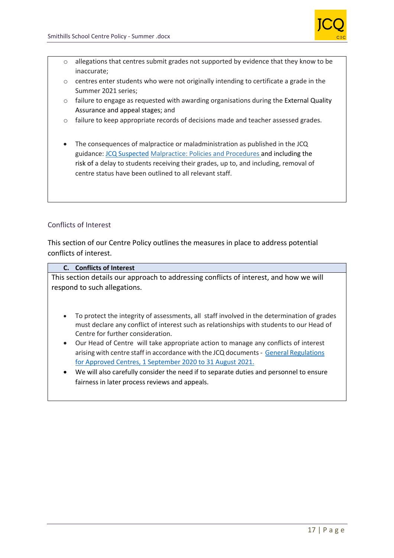

- o allegations that centres submit grades not supported by evidence that they know to be inaccurate;
- $\circ$  centres enter students who were not originally intending to certificate a grade in the Summer 2021 series;
- $\circ$  failure to engage as requested with awarding organisations during the External Quality Assurance and appeal stages; and
- $\circ$  failure to keep appropriate records of decisions made and teacher assessed grades.
- The consequences of malpractice or maladministration as published in the JCQ guidance: JCQ Suspected Malpractice: Policies and Procedures and including the risk of a delay to students receiving their grades, up to, and including, removal of centre status have been outlined to all relevant staff.

### Conflicts of Interest

This section of our Centre Policy outlines the measures in place to address potential conflicts of interest.

#### **C. Conflicts of Interest**

This section details our approach to addressing conflicts of interest, and how we will respond to such allegations.

- To protect the integrity of assessments, all staff involved in the determination of grades must declare any conflict of interest such as relationships with students to our Head of Centre for further consideration.
- Our Head of Centre will take appropriate action to manage any conflicts of interest arising with centre staff in accordance with the JCQ documents - General Regulations for Approved Centres, 1 September 2020 to 31 August 2021.
- We will also carefully consider the need if to separate duties and personnel to ensure fairness in later process reviews and appeals.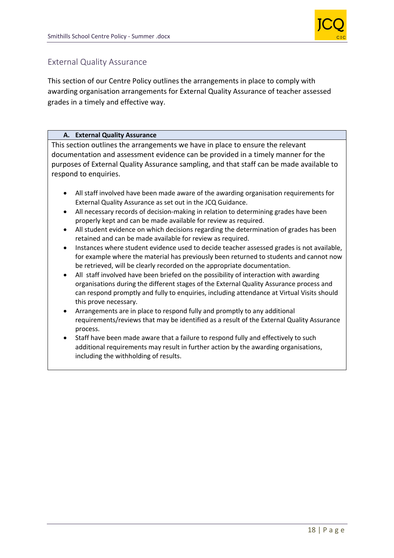

## External Quality Assurance

This section of our Centre Policy outlines the arrangements in place to comply with awarding organisation arrangements for External Quality Assurance of teacher assessed grades in a timely and effective way.

### **A. External Quality Assurance**

This section outlines the arrangements we have in place to ensure the relevant documentation and assessment evidence can be provided in a timely manner for the purposes of External Quality Assurance sampling, and that staff can be made available to respond to enquiries.

- All staff involved have been made aware of the awarding organisation requirements for External Quality Assurance as set out in the JCQ Guidance.
- All necessary records of decision-making in relation to determining grades have been properly kept and can be made available for review as required.
- All student evidence on which decisions regarding the determination of grades has been retained and can be made available for review as required.
- Instances where student evidence used to decide teacher assessed grades is not available, for example where the material has previously been returned to students and cannot now be retrieved, will be clearly recorded on the appropriate documentation.
- All staff involved have been briefed on the possibility of interaction with awarding organisations during the different stages of the External Quality Assurance process and can respond promptly and fully to enquiries, including attendance at Virtual Visits should this prove necessary.
- Arrangements are in place to respond fully and promptly to any additional requirements/reviews that may be identified as a result of the External Quality Assurance process.
- Staff have been made aware that a failure to respond fully and effectively to such additional requirements may result in further action by the awarding organisations, including the withholding of results.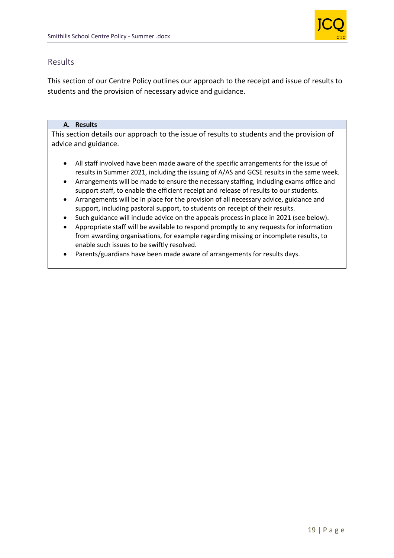

## Results

This section of our Centre Policy outlines our approach to the receipt and issue of results to students and the provision of necessary advice and guidance.

### **A. Results**

This section details our approach to the issue of results to students and the provision of advice and guidance.

- All staff involved have been made aware of the specific arrangements for the issue of results in Summer 2021, including the issuing of A/AS and GCSE results in the same week.
- Arrangements will be made to ensure the necessary staffing, including exams office and support staff, to enable the efficient receipt and release of results to our students.
- Arrangements will be in place for the provision of all necessary advice, guidance and support, including pastoral support, to students on receipt of their results.
- Such guidance will include advice on the appeals process in place in 2021 (see below).
- Appropriate staff will be available to respond promptly to any requests for information from awarding organisations, for example regarding missing or incomplete results, to enable such issues to be swiftly resolved.
- Parents/guardians have been made aware of arrangements for results days.